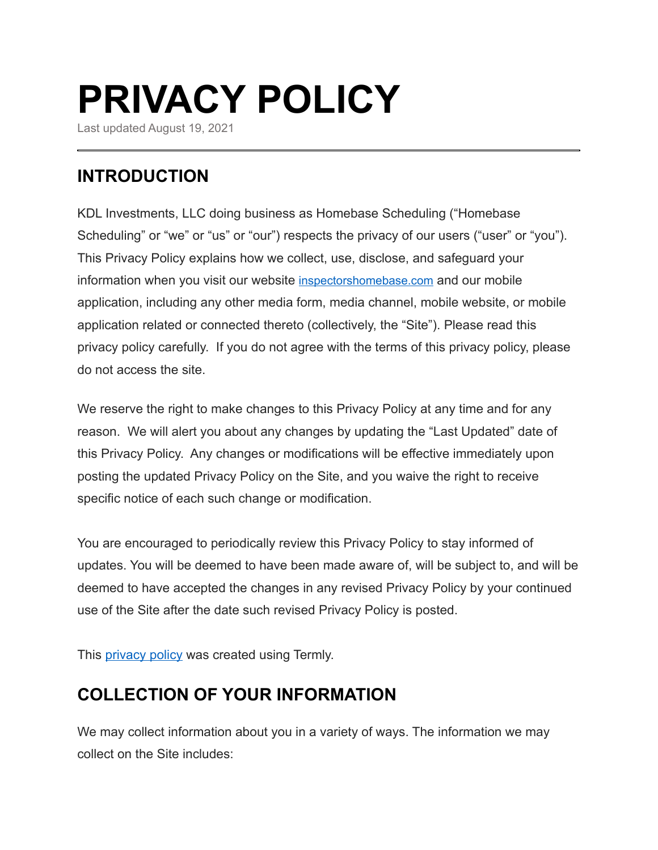# **PRIVACY POLICY**

Last updated August 19, 2021

# **INTRODUCTION**

KDL Investments, LLC doing business as Homebase Scheduling ("Homebase Scheduling" or "we" or "us" or "our") respects the privacy of our users ("user" or "you"). This Privacy Policy explains how we collect, use, disclose, and safeguard your information when you visit our website [inspectorshomebase.com](http://inspectorshomebase.com) and our mobile application, including any other media form, media channel, mobile website, or mobile application related or connected thereto (collectively, the "Site"). Please read this privacy policy carefully. If you do not agree with the terms of this privacy policy, please do not access the site.

We reserve the right to make changes to this Privacy Policy at any time and for any reason. We will alert you about any changes by updating the "Last Updated" date of this Privacy Policy. Any changes or modifications will be effective immediately upon posting the updated Privacy Policy on the Site, and you waive the right to receive specific notice of each such change or modification.

You are encouraged to periodically review this Privacy Policy to stay informed of updates. You will be deemed to have been made aware of, will be subject to, and will be deemed to have accepted the changes in any revised Privacy Policy by your continued use of the Site after the date such revised Privacy Policy is posted.

This **privacy policy** was created using Termly.

# **COLLECTION OF YOUR INFORMATION**

We may collect information about you in a variety of ways. The information we may collect on the Site includes: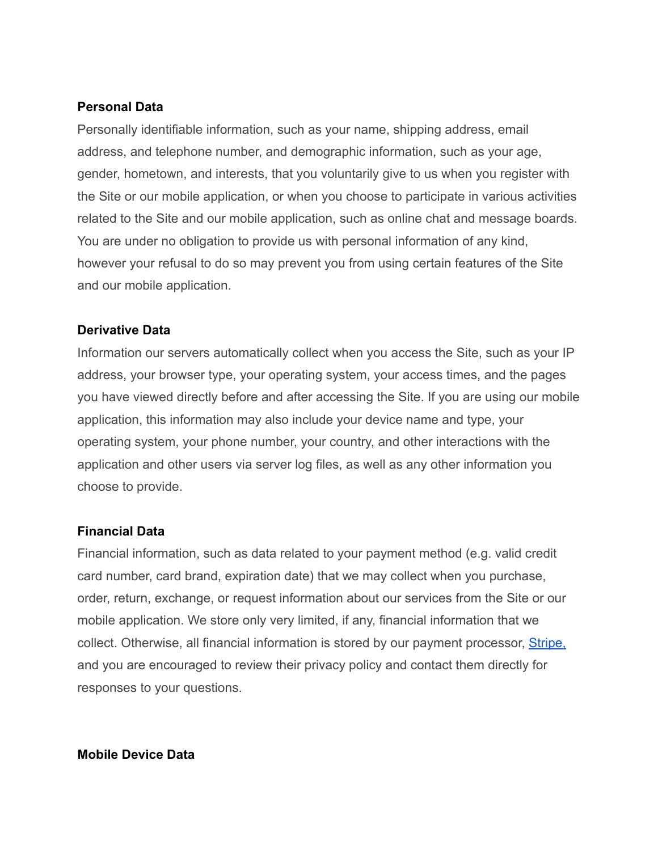#### **Personal Data**

Personally identifiable information, such as your name, shipping address, email address, and telephone number, and demographic information, such as your age, gender, hometown, and interests, that you voluntarily give to us when you register with the Site or our mobile application, or when you choose to participate in various activities related to the Site and our mobile application, such as online chat and message boards. You are under no obligation to provide us with personal information of any kind, however your refusal to do so may prevent you from using certain features of the Site and our mobile application.

#### **Derivative Data**

Information our servers automatically collect when you access the Site, such as your IP address, your browser type, your operating system, your access times, and the pages you have viewed directly before and after accessing the Site. If you are using our mobile application, this information may also include your device name and type, your operating system, your phone number, your country, and other interactions with the application and other users via server log files, as well as any other information you choose to provide.

#### **Financial Data**

Financial information, such as data related to your payment method (e.g. valid credit card number, card brand, expiration date) that we may collect when you purchase, order, return, exchange, or request information about our services from the Site or our mobile application. We store only very limited, if any, financial information that we collect. Otherwise, all financial information is stored by our payment processor, [Stripe,](https://stripe.com/us/privacy/) and you are encouraged to review their privacy policy and contact them directly for responses to your questions.

#### **Mobile Device Data**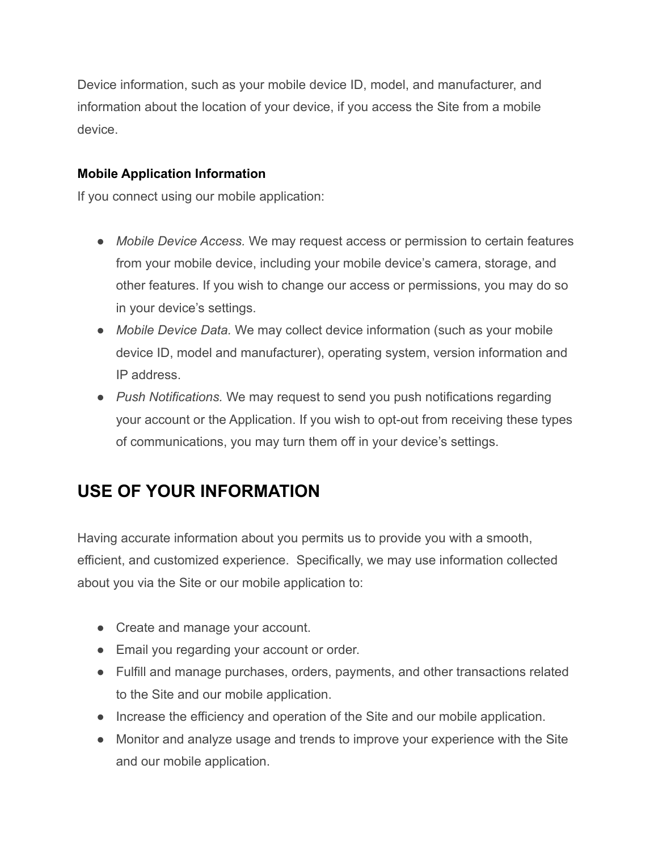Device information, such as your mobile device ID, model, and manufacturer, and information about the location of your device, if you access the Site from a mobile device.

### **Mobile Application Information**

If you connect using our mobile application:

- **●** *Mobile Device Access.* We may request access or permission to certain features from your mobile device, including your mobile device's camera, storage, and other features. If you wish to change our access or permissions, you may do so in your device's settings.
- *Mobile Device Data.* We may collect device information (such as your mobile device ID, model and manufacturer), operating system, version information and IP address.
- *Push Notifications.* We may request to send you push notifications regarding your account or the Application. If you wish to opt-out from receiving these types of communications, you may turn them off in your device's settings.

# **USE OF YOUR INFORMATION**

Having accurate information about you permits us to provide you with a smooth, efficient, and customized experience. Specifically, we may use information collected about you via the Site or our mobile application to:

- Create and manage your account.
- Email you regarding your account or order.
- Fulfill and manage purchases, orders, payments, and other transactions related to the Site and our mobile application.
- Increase the efficiency and operation of the Site and our mobile application.
- Monitor and analyze usage and trends to improve your experience with the Site and our mobile application.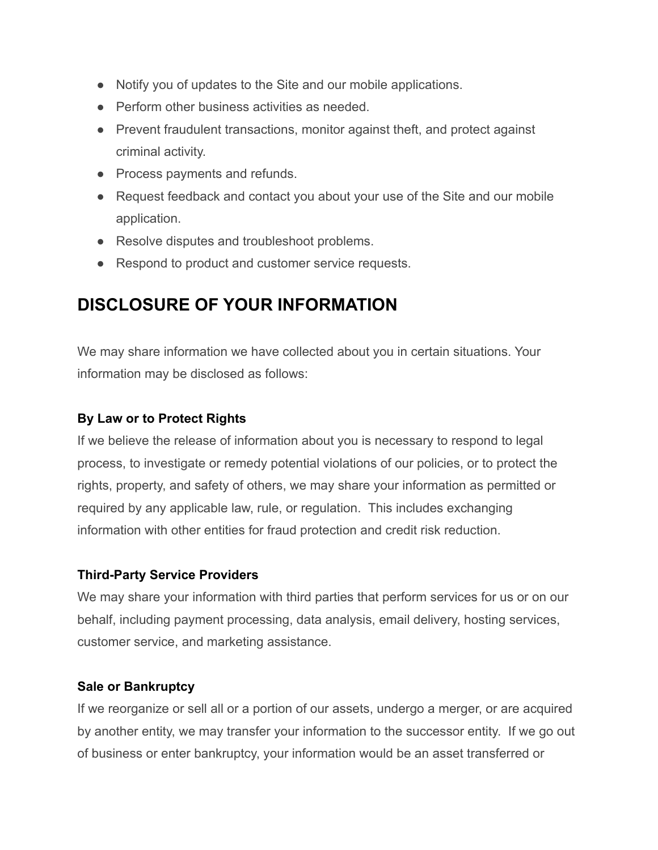- Notify you of updates to the Site and our mobile applications.
- Perform other business activities as needed.
- Prevent fraudulent transactions, monitor against theft, and protect against criminal activity.
- Process payments and refunds.
- Request feedback and contact you about your use of the Site and our mobile application.
- Resolve disputes and troubleshoot problems.
- Respond to product and customer service requests.

# **DISCLOSURE OF YOUR INFORMATION**

We may share information we have collected about you in certain situations. Your information may be disclosed as follows:

## **By Law or to Protect Rights**

If we believe the release of information about you is necessary to respond to legal process, to investigate or remedy potential violations of our policies, or to protect the rights, property, and safety of others, we may share your information as permitted or required by any applicable law, rule, or regulation. This includes exchanging information with other entities for fraud protection and credit risk reduction.

## **Third-Party Service Providers**

We may share your information with third parties that perform services for us or on our behalf, including payment processing, data analysis, email delivery, hosting services, customer service, and marketing assistance.

#### **Sale or Bankruptcy**

If we reorganize or sell all or a portion of our assets, undergo a merger, or are acquired by another entity, we may transfer your information to the successor entity. If we go out of business or enter bankruptcy, your information would be an asset transferred or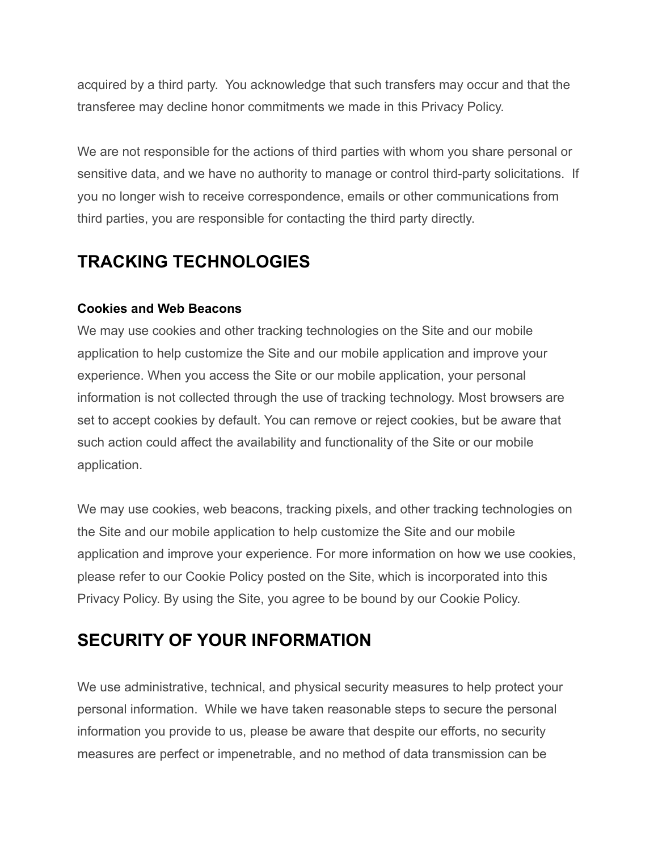acquired by a third party. You acknowledge that such transfers may occur and that the transferee may decline honor commitments we made in this Privacy Policy.

We are not responsible for the actions of third parties with whom you share personal or sensitive data, and we have no authority to manage or control third-party solicitations. If you no longer wish to receive correspondence, emails or other communications from third parties, you are responsible for contacting the third party directly.

# **TRACKING TECHNOLOGIES**

#### **Cookies and Web Beacons**

We may use cookies and other tracking technologies on the Site and our mobile application to help customize the Site and our mobile application and improve your experience. When you access the Site or our mobile application, your personal information is not collected through the use of tracking technology. Most browsers are set to accept cookies by default. You can remove or reject cookies, but be aware that such action could affect the availability and functionality of the Site or our mobile application.

We may use cookies, web beacons, tracking pixels, and other tracking technologies on the Site and our mobile application to help customize the Site and our mobile application and improve your experience. For more information on how we use cookies, please refer to our Cookie Policy posted on the Site, which is incorporated into this Privacy Policy. By using the Site, you agree to be bound by our Cookie Policy.

## **SECURITY OF YOUR INFORMATION**

We use administrative, technical, and physical security measures to help protect your personal information. While we have taken reasonable steps to secure the personal information you provide to us, please be aware that despite our efforts, no security measures are perfect or impenetrable, and no method of data transmission can be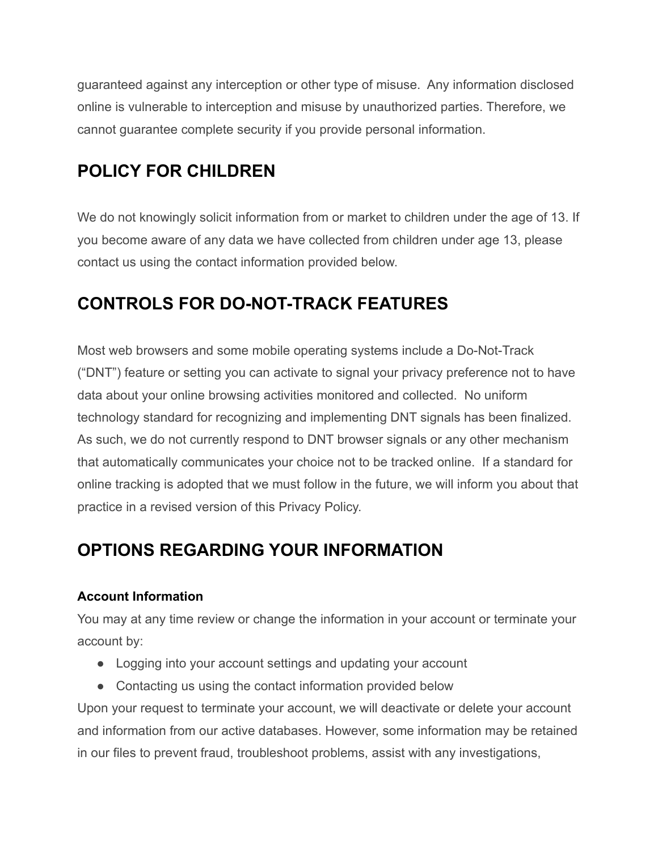guaranteed against any interception or other type of misuse. Any information disclosed online is vulnerable to interception and misuse by unauthorized parties. Therefore, we cannot guarantee complete security if you provide personal information.

# **POLICY FOR CHILDREN**

We do not knowingly solicit information from or market to children under the age of 13. If you become aware of any data we have collected from children under age 13, please contact us using the contact information provided below.

# **CONTROLS FOR DO-NOT-TRACK FEATURES**

Most web browsers and some mobile operating systems include a Do-Not-Track ("DNT") feature or setting you can activate to signal your privacy preference not to have data about your online browsing activities monitored and collected. No uniform technology standard for recognizing and implementing DNT signals has been finalized. As such, we do not currently respond to DNT browser signals or any other mechanism that automatically communicates your choice not to be tracked online. If a standard for online tracking is adopted that we must follow in the future, we will inform you about that practice in a revised version of this Privacy Policy.

# **OPTIONS REGARDING YOUR INFORMATION**

## **Account Information**

You may at any time review or change the information in your account or terminate your account by:

- Logging into your account settings and updating your account
- Contacting us using the contact information provided below

Upon your request to terminate your account, we will deactivate or delete your account and information from our active databases. However, some information may be retained in our files to prevent fraud, troubleshoot problems, assist with any investigations,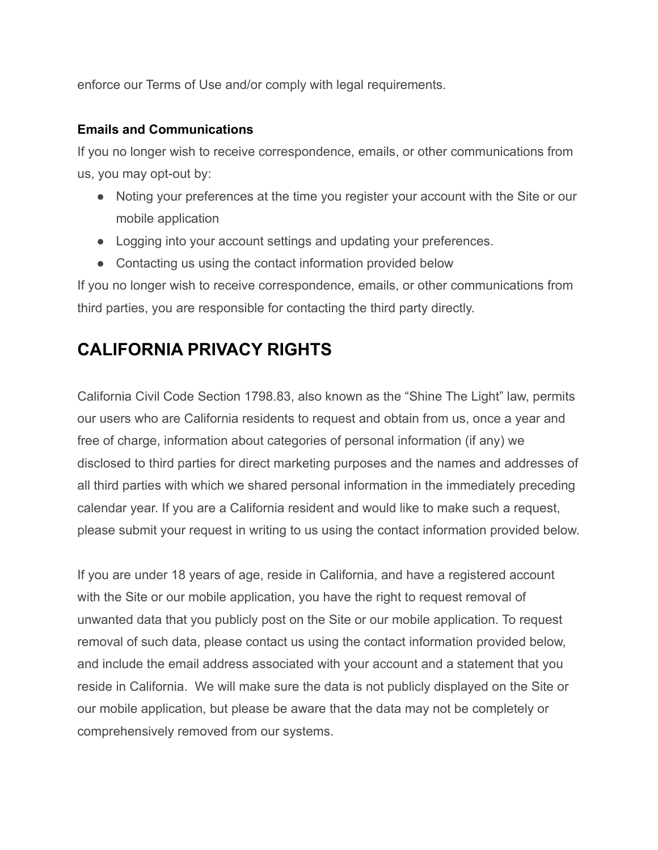enforce our Terms of Use and/or comply with legal requirements.

#### **Emails and Communications**

If you no longer wish to receive correspondence, emails, or other communications from us, you may opt-out by:

- Noting your preferences at the time you register your account with the Site or our mobile application
- Logging into your account settings and updating your preferences.
- Contacting us using the contact information provided below

If you no longer wish to receive correspondence, emails, or other communications from third parties, you are responsible for contacting the third party directly.

## **CALIFORNIA PRIVACY RIGHTS**

California Civil Code Section 1798.83, also known as the "Shine The Light" law, permits our users who are California residents to request and obtain from us, once a year and free of charge, information about categories of personal information (if any) we disclosed to third parties for direct marketing purposes and the names and addresses of all third parties with which we shared personal information in the immediately preceding calendar year. If you are a California resident and would like to make such a request, please submit your request in writing to us using the contact information provided below.

If you are under 18 years of age, reside in California, and have a registered account with the Site or our mobile application, you have the right to request removal of unwanted data that you publicly post on the Site or our mobile application. To request removal of such data, please contact us using the contact information provided below, and include the email address associated with your account and a statement that you reside in California. We will make sure the data is not publicly displayed on the Site or our mobile application, but please be aware that the data may not be completely or comprehensively removed from our systems.